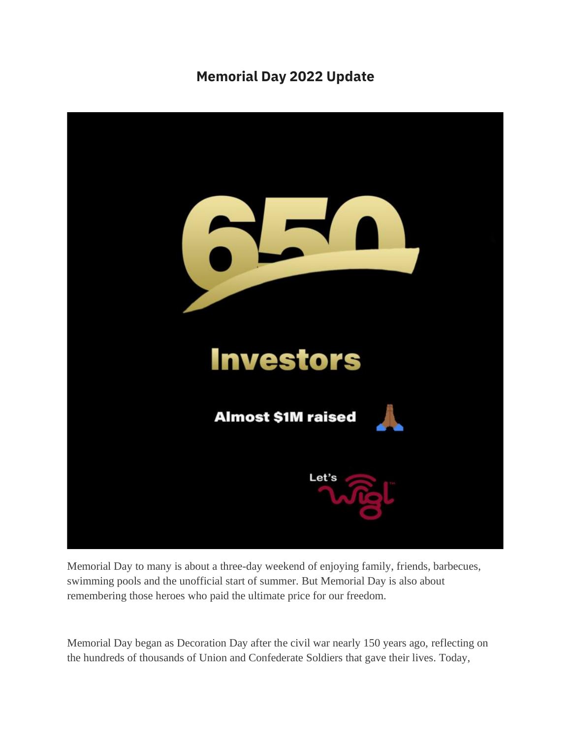## **Memorial Day 2022 Update**



Memorial Day to many is about a three-day weekend of enjoying family, friends, barbecues, swimming pools and the unofficial start of summer. But Memorial Day is also about remembering those heroes who paid the ultimate price for our freedom.

Memorial Day began as Decoration Day after the civil war nearly 150 years ago, reflecting on the hundreds of thousands of Union and Confederate Soldiers that gave their lives. Today,